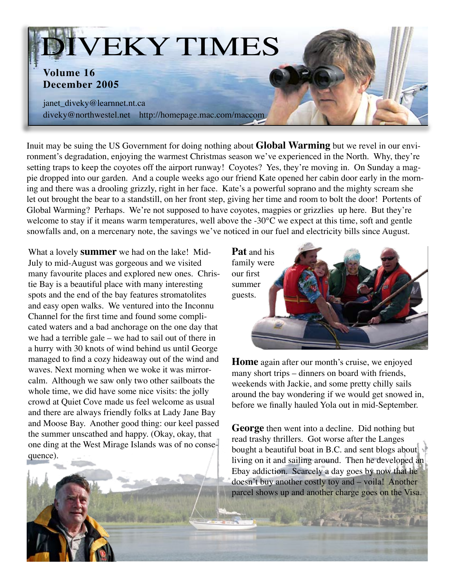

Inuit may be suing the US Government for doing nothing about **Global Warming** but we revel in our environment's degradation, enjoying the warmest Christmas season we've experienced in the North. Why, they're setting traps to keep the coyotes off the airport runway! Coyotes? Yes, they're moving in. On Sunday a magpie dropped into our garden. And a couple weeks ago our friend Kate opened her cabin door early in the morning and there was a drooling grizzly, right in her face. Kate's a powerful soprano and the mighty scream she let out brought the bear to a standstill, on her front step, giving her time and room to bolt the door! Portents of Global Warming? Perhaps. We're not supposed to have coyotes, magpies or grizzlies up here. But they're welcome to stay if it means warm temperatures, well above the -30°C we expect at this time, soft and gentle snowfalls and, on a mercenary note, the savings we've noticed in our fuel and electricity bills since August.

What a lovely **summer** we had on the lake! Mid-July to mid-August was gorgeous and we visited many favourite places and explored new ones. Christie Bay is a beautiful place with many interesting spots and the end of the bay features stromatolites and easy open walks. We ventured into the Inconnu Channel for the first time and found some complicated waters and a bad anchorage on the one day that we had a terrible gale – we had to sail out of there in a hurry with 30 knots of wind behind us until George managed to find a cozy hideaway out of the wind and waves. Next morning when we woke it was mirrorcalm. Although we saw only two other sailboats the whole time, we did have some nice visits: the jolly crowd at Quiet Cove made us feel welcome as usual and there are always friendly folks at Lady Jane Bay and Moose Bay. Another good thing: our keel passed the summer unscathed and happy. (Okay, okay, that one ding at the West Mirage Islands was of no consequence).



**Home** again after our month's cruise, we enjoyed many short trips – dinners on board with friends, weekends with Jackie, and some pretty chilly sails around the bay wondering if we would get snowed in, before we finally hauled Yola out in mid-September.

**George** then went into a decline. Did nothing but read trashy thrillers. Got worse after the Langes bought a beautiful boat in B.C. and sent blogs about living on it and sailing around. Then he developed an Ebay addiction. Scarcely a day goes by now that he doesn't buy another costly toy and – voila! Another parcel shows up and another charge goes on the Visa.